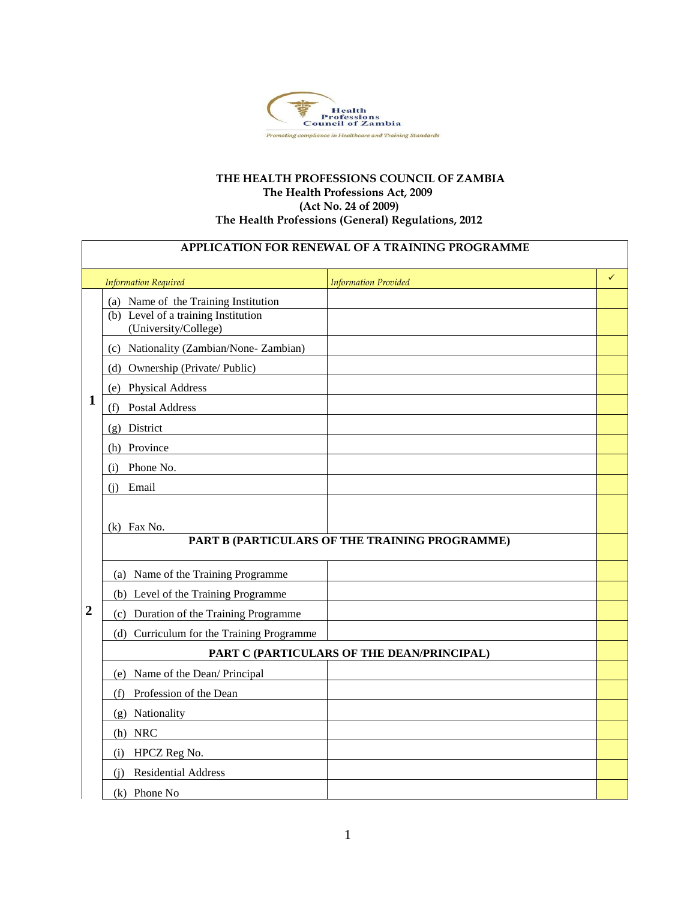

## **THE HEALTH PROFESSIONS COUNCIL OF ZAMBIA The Health Professions Act, 2009 (Act No. 24 of 2009) The Health Professions (General) Regulations, 2012**

| <b>APPLICATION FOR RENEWAL OF A TRAINING PROGRAMME</b> |                                                                                                     |                                                |              |  |  |
|--------------------------------------------------------|-----------------------------------------------------------------------------------------------------|------------------------------------------------|--------------|--|--|
|                                                        | <b>Information Required</b>                                                                         | <b>Information Provided</b>                    | $\checkmark$ |  |  |
| 1                                                      | (a) Name of the Training Institution<br>(b) Level of a training Institution<br>(University/College) |                                                |              |  |  |
|                                                        | (c) Nationality (Zambian/None-Zambian)                                                              |                                                |              |  |  |
|                                                        | (d) Ownership (Private/ Public)                                                                     |                                                |              |  |  |
|                                                        | (e) Physical Address                                                                                |                                                |              |  |  |
|                                                        | Postal Address<br>(f)                                                                               |                                                |              |  |  |
|                                                        | (g) District                                                                                        |                                                |              |  |  |
|                                                        | (h) Province                                                                                        |                                                |              |  |  |
|                                                        | Phone No.<br>(i)                                                                                    |                                                |              |  |  |
|                                                        | Email<br>(i)                                                                                        |                                                |              |  |  |
|                                                        | $(k)$ Fax No.                                                                                       | PART B (PARTICULARS OF THE TRAINING PROGRAMME) |              |  |  |
|                                                        |                                                                                                     |                                                |              |  |  |
|                                                        | (a) Name of the Training Programme                                                                  |                                                |              |  |  |
|                                                        | (b) Level of the Training Programme                                                                 |                                                |              |  |  |
| $\overline{2}$                                         | (c) Duration of the Training Programme                                                              |                                                |              |  |  |
|                                                        | (d) Curriculum for the Training Programme                                                           |                                                |              |  |  |
|                                                        |                                                                                                     | PART C (PARTICULARS OF THE DEAN/PRINCIPAL)     |              |  |  |
|                                                        | (e) Name of the Dean/ Principal                                                                     |                                                |              |  |  |
|                                                        | Profession of the Dean<br>(f)                                                                       |                                                |              |  |  |
|                                                        | (g) Nationality                                                                                     |                                                |              |  |  |
|                                                        | (h) NRC                                                                                             |                                                |              |  |  |
|                                                        | HPCZ Reg No.<br>(i)                                                                                 |                                                |              |  |  |
|                                                        | <b>Residential Address</b><br>(i)                                                                   |                                                |              |  |  |
|                                                        | (k) Phone No                                                                                        |                                                |              |  |  |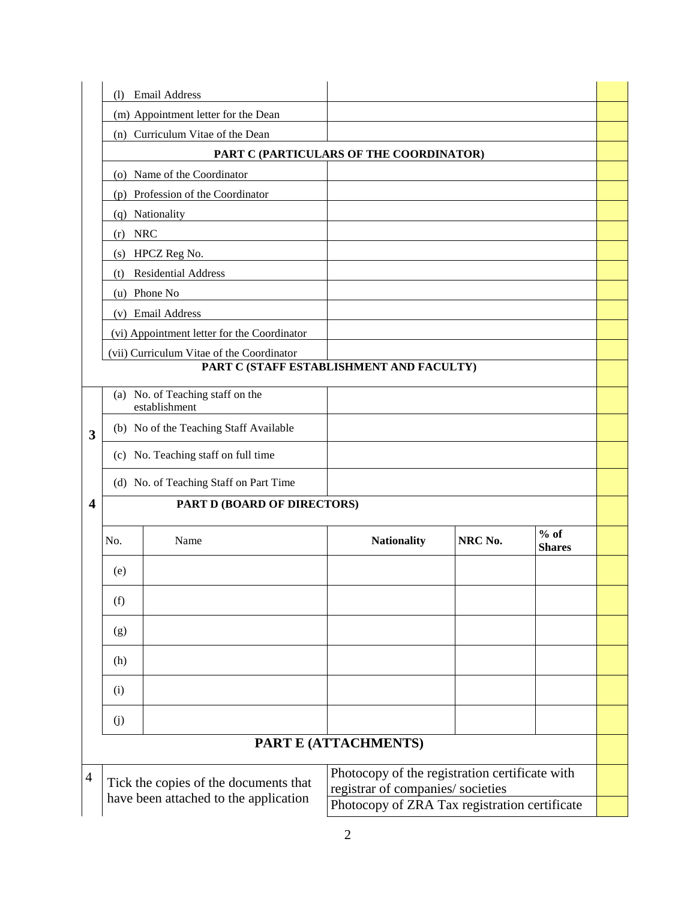|                  | $\Omega$                                          | <b>Email Address</b>                        |                                                                                     |         |                         |  |  |
|------------------|---------------------------------------------------|---------------------------------------------|-------------------------------------------------------------------------------------|---------|-------------------------|--|--|
|                  | (m) Appointment letter for the Dean               |                                             |                                                                                     |         |                         |  |  |
|                  | (n) Curriculum Vitae of the Dean                  |                                             |                                                                                     |         |                         |  |  |
|                  |                                                   | PART C (PARTICULARS OF THE COORDINATOR)     |                                                                                     |         |                         |  |  |
|                  |                                                   | (o) Name of the Coordinator                 |                                                                                     |         |                         |  |  |
|                  |                                                   | (p) Profession of the Coordinator           |                                                                                     |         |                         |  |  |
|                  |                                                   | (q) Nationality                             |                                                                                     |         |                         |  |  |
|                  | (r)                                               | <b>NRC</b>                                  |                                                                                     |         |                         |  |  |
|                  | (s)                                               | HPCZ Reg No.                                |                                                                                     |         |                         |  |  |
|                  | (t)                                               | Residential Address                         |                                                                                     |         |                         |  |  |
|                  |                                                   | (u) Phone No                                |                                                                                     |         |                         |  |  |
|                  |                                                   | (v) Email Address                           |                                                                                     |         |                         |  |  |
|                  |                                                   | (vi) Appointment letter for the Coordinator |                                                                                     |         |                         |  |  |
|                  |                                                   | (vii) Curriculum Vitae of the Coordinator   | PART C (STAFF ESTABLISHMENT AND FACULTY)                                            |         |                         |  |  |
|                  |                                                   |                                             |                                                                                     |         |                         |  |  |
|                  | (a) No. of Teaching staff on the<br>establishment |                                             |                                                                                     |         |                         |  |  |
| 3                | (b) No of the Teaching Staff Available            |                                             |                                                                                     |         |                         |  |  |
|                  | (c) No. Teaching staff on full time               |                                             |                                                                                     |         |                         |  |  |
|                  | (d) No. of Teaching Staff on Part Time            |                                             |                                                                                     |         |                         |  |  |
| $\boldsymbol{4}$ |                                                   | PART D (BOARD OF DIRECTORS)                 |                                                                                     |         |                         |  |  |
|                  | No.                                               | Name                                        | <b>Nationality</b>                                                                  | NRC No. | $%$ of<br><b>Shares</b> |  |  |
|                  | (e)                                               |                                             |                                                                                     |         |                         |  |  |
|                  | (f)                                               |                                             |                                                                                     |         |                         |  |  |
|                  | (g)                                               |                                             |                                                                                     |         |                         |  |  |
|                  | (h)                                               |                                             |                                                                                     |         |                         |  |  |
|                  | (i)                                               |                                             |                                                                                     |         |                         |  |  |
|                  | (j)                                               |                                             |                                                                                     |         |                         |  |  |
|                  |                                                   | PART E (ATTACHMENTS)                        |                                                                                     |         |                         |  |  |
| $\overline{4}$   |                                                   | Tick the copies of the documents that       | Photocopy of the registration certificate with<br>registrar of companies/ societies |         |                         |  |  |
|                  | have been attached to the application             |                                             | Photocopy of ZRA Tax registration certificate                                       |         |                         |  |  |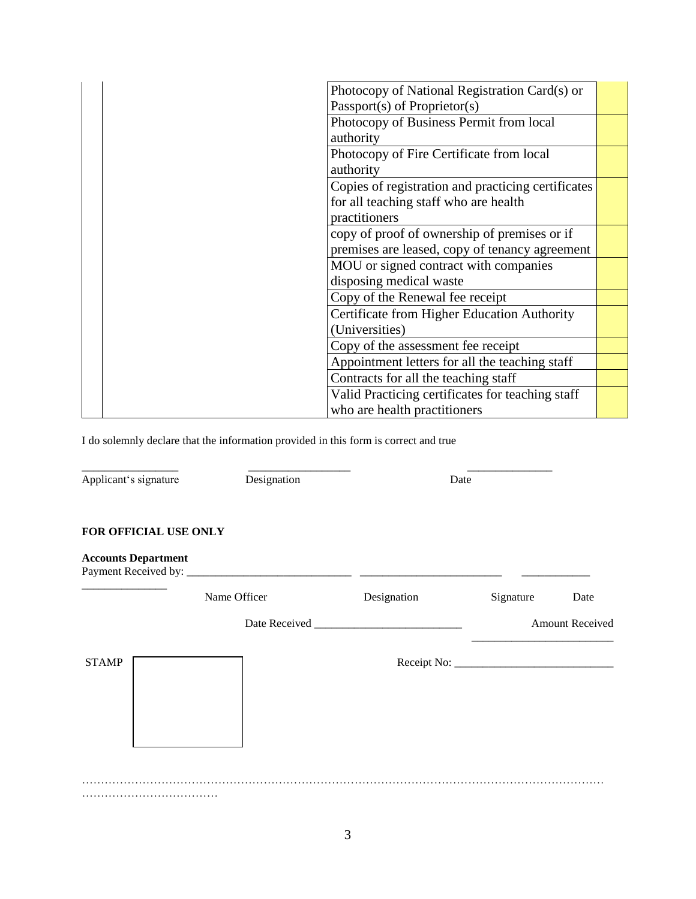| Photocopy of National Registration Card(s) or      |  |
|----------------------------------------------------|--|
| Passport(s) of Proprietor(s)                       |  |
| Photocopy of Business Permit from local            |  |
| authority                                          |  |
| Photocopy of Fire Certificate from local           |  |
| authority                                          |  |
| Copies of registration and practicing certificates |  |
| for all teaching staff who are health              |  |
| practitioners                                      |  |
| copy of proof of ownership of premises or if       |  |
| premises are leased, copy of tenancy agreement     |  |
| MOU or signed contract with companies              |  |
| disposing medical waste                            |  |
| Copy of the Renewal fee receipt                    |  |
| Certificate from Higher Education Authority        |  |
| (Universities)                                     |  |
| Copy of the assessment fee receipt                 |  |
| Appointment letters for all the teaching staff     |  |
| Contracts for all the teaching staff               |  |
| Valid Practicing certificates for teaching staff   |  |
| who are health practitioners                       |  |

I do solemnly declare that the information provided in this form is correct and true

| Applicant's signature      | Designation  |             | Date      |                        |
|----------------------------|--------------|-------------|-----------|------------------------|
| FOR OFFICIAL USE ONLY      |              |             |           |                        |
| <b>Accounts Department</b> |              |             |           |                        |
|                            | Name Officer | Designation | Signature | Date                   |
|                            |              |             |           | <b>Amount Received</b> |
| <b>STAMP</b>               |              |             |           |                        |
|                            |              |             |           |                        |
|                            |              |             |           |                        |
|                            |              |             |           |                        |